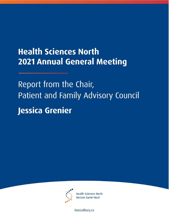# **Health Sciences North 2021 Annual General Meeting**

Report from the Chair, Patient and Family Advisory Council Jessica Grenier



**Health Sciences North** Horizon Santé-Nord

hsnsudbury.ca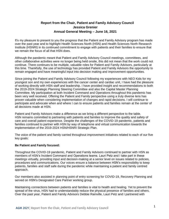## **Report from the Chair, Patient and Family Advisory Council Jessica Grenier Annual General Meeting – June 16, 2021**

It's my pleasure to present to you the progress that the Patient and Family Advisory program has made over the past year and to highlight Health Sciences North (HSN) and Health Sciences North Research Institute (HSNRI) in its continued commitment to engage with patients and their families to ensure that we remain the focus of all that HSN does.

Although the pandemic meant that Patient and Family Advisory Council meetings, committees, and other collaborative activities were no longer being held onsite, this did not mean that the work could not continue. There continues to be multiple, valuable roles for Patient and Family Advisors, particularly at this time. Thankfully, the use of technology has provided Patient and Family Advisors the opportunity to remain engaged and have meaningful input into decision making and improvement opportunities.

Since joining the Patient and Family Advisory Council following my experiences with NEO Kids for my youngest son and my own experiences with the cancer center and cardiac unit, I have had the pleasure of working directly with HSN staff and leadership. I have provided insight and recommendations to both the 2019-2024 Strategic Planning Steering Committee and also the Capital Master Planning Committee. My participation at both Incident Command and Operations throughout this pandemic has been very well received. Offering the Patient and Family perspective using a truly diverse lens has proven valuable when considering implementation of changes and rapid decisions. I will continue to participate and advocate when and where I can to ensure patients and families remain at the center of all decisions made at HSN.

Patient and Family Advisors make a difference as we bring a different perspective to the table. HSN remains committed to partnering with patients and families to improve the quality and safety of care and overall patient experience. Despite the challenges of the COVID-19 pandemic, patients and families continued to partner with HSN by way of telephone and virtual communication towards the implementation of the 2019-2024 HSN/HSNRI Strategic Plan.

The voice of the patient and family carried throughout improvement initiatives related to each of our five key goals:

### **Be Patient and Family focused:**

Throughout the COVID-19 pandemic, Patient and Family Advisors continued to partner with HSN as members of HSN's Incident Command and Operations teams. Lauri Petz and I take part in these meetings virtually, providing input and decision-making at a senior level on issues related to policies, procedures and communications. Our voices ensure a balance between HSN's responsibility to keep patients, families and staff safe during the pandemic while maintaining a patient and family centred approach.

Our members also assisted in planning point of entry screening for COVID-19, Recovery Planning and served on HSN's Designated Care Partner working group.

Maintaining connections between patients and families is vital to health and healing. Yet to prevent the spread of the virus, HSN had to understandably reduce the physical presence of families and others. Over the past year, Patient and Family Advisors Debbie Rainville, Lauri Petz and I partnered with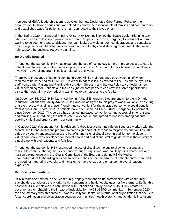members of HSN's leadership team to develop the new Designated Care Partner Policy for the organization. In those discussions, we helped to convey the essential role of families and care partners and established ways for patients to remain connected to their loved ones.

In the Spring 2020, Patient and Family Advisor Nick Dominelli joined the Space Design Planning team who's focus was to develop a plan to create space for patients in the Emergency Department who were waiting to be seen or treated. Nick and the team looked at waiting room configurations and capacity to ensure alignment with Ministry guidelines with respect to physical distancing requirements that would help support the business recovery planning.

### **Be Digitally Enabled**

Throughout the pandemic, HSN has expanded the use of technology to help improve access to care for patients and families, as well as improve patient outcomes. Patient and Family Advisors were closely involved in several important initiatives related to this work.

There were thousands of patients coming through HSN's main entrance each week, all of whom required to be screened for COVID-19. In order to address issues related to line-ups and delays, HSN staff worked with Patient and Family Advisors Hom Shrestha and Sandra Foley to co-design a new virtual screening tool. Patients and their designated care partners can now self-screen prior to their visit to the hospital, thereby reducing wait times to gain access to the facility.

On December 15, 2020, HSN launched the first Virtual Emergency Department in Northern Ontario. Input from Patient and Family Advisor Julie Sabourin assigned to this project was invaluable in ensuring that the process was simple, user friendly and convenient for the average person who could benefit from Virtual Care. A total of 1187 patients have been seen in HSN's Virtual Emergency Department since December 2020. This service has enabled increased convenience and accessibility for patients and families, while reducing the risk of potential exposure and spread of illnesses among patients seeking critical and urgent care in our community.

In October 2020, Patient and Family Advisors Andrea Desjardins and Kristen Bouchard worked with the Mental Health and Addictions program to co-design a Virtual Care Video for patients and families. The video provides an understanding of the benefits and risks of virtual care. In addition to the video, a virtual care toolkit was developed for mental health and addictions staff to guide them in the delivery of virtual care with their patients and families.

Throughout the pandemic, HSN expanded the use of virtual technology to allow for patients and families to continue sharing their experience through story telling. Andrea Desjardins shared her and her son's experience with the Quality Committee of the Board and during HSN's Medical Learner/Resident Onboarding sessions to help emphasize the importance of patient-centred care and the need for integrating diversity and inclusion to improve care and enhance the overall patient experience.

### **Be Socially Accountable**

HSN remains committed to seek community engagement and value partnerships with community stakeholders to address the priority health concerns and health equity gaps for Northerners. Earlier this past year, HSN employees in conjunction with Patient and Family Advisor Rita O'Link created a documentary emphasizing the impact of inclusivity for the 2SLGBTQ community. In September 2020, the documentary was presented at Towards Unity for Health, an international organization that seeks to foster coordination and collaboration between communities, health systems, and academic institutions,